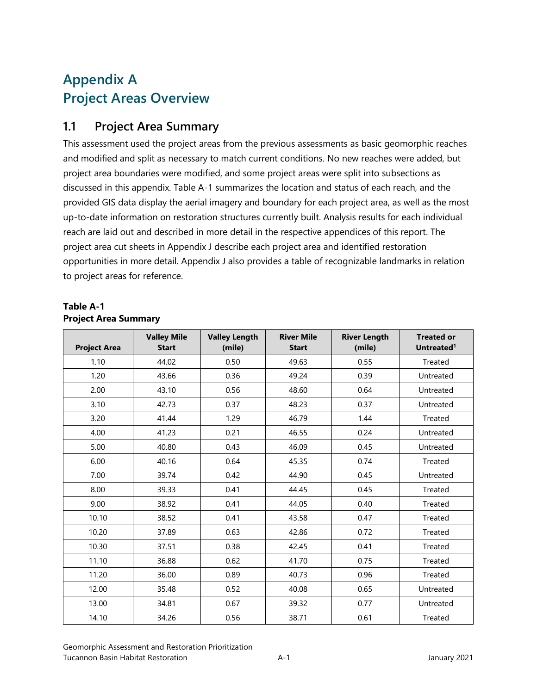# **Appendix A Project Areas Overview**

### **1.1 Project Area Summary**

This assessment used the project areas from the previous assessments as basic geomorphic reaches and modified and split as necessary to match current conditions. No new reaches were added, but project area boundaries were modified, and some project areas were split into subsections as discussed in this appendix. Table A-1 summarizes the location and status of each reach, and the provided GIS data display the aerial imagery and boundary for each project area, as well as the most up-to-date information on restoration structures currently built. Analysis results for each individual reach are laid out and described in more detail in the respective appendices of this report. The project area cut sheets in Appendix J describe each project area and identified restoration opportunities in more detail. Appendix J also provides a table of recognizable landmarks in relation to project areas for reference.

#### **Table A-1 Project Area Summary**

| <b>Project Area</b> | <b>Valley Mile</b><br><b>Start</b> | <b>Valley Length</b><br>(mile) | <b>River Mile</b><br><b>Start</b> | <b>River Length</b><br>(mile) | <b>Treated or</b><br>Untreated <sup>1</sup> |
|---------------------|------------------------------------|--------------------------------|-----------------------------------|-------------------------------|---------------------------------------------|
| 1.10                | 44.02                              | 0.50                           | 49.63                             | 0.55                          | <b>Treated</b>                              |
| 1.20                | 43.66                              | 0.36                           | 49.24                             | 0.39                          | Untreated                                   |
| 2.00                | 43.10                              | 0.56                           | 48.60                             | 0.64                          | Untreated                                   |
| 3.10                | 42.73                              | 0.37                           | 48.23                             | 0.37                          | Untreated                                   |
| 3.20                | 41.44                              | 1.29                           | 46.79                             | 1.44                          | Treated                                     |
| 4.00                | 41.23                              | 0.21                           | 46.55                             | 0.24                          | Untreated                                   |
| 5.00                | 40.80                              | 0.43                           | 46.09                             | 0.45                          | Untreated                                   |
| 6.00                | 40.16                              | 0.64                           | 45.35                             | 0.74                          | Treated                                     |
| 7.00                | 39.74                              | 0.42                           | 44.90                             | 0.45                          | Untreated                                   |
| 8.00                | 39.33                              | 0.41                           | 44.45                             | 0.45                          | Treated                                     |
| 9.00                | 38.92                              | 0.41                           | 44.05                             | 0.40                          | <b>Treated</b>                              |
| 10.10               | 38.52                              | 0.41                           | 43.58                             | 0.47                          | Treated                                     |
| 10.20               | 37.89                              | 0.63                           | 42.86                             | 0.72                          | Treated                                     |
| 10.30               | 37.51                              | 0.38                           | 42.45                             | 0.41                          | Treated                                     |
| 11.10               | 36.88                              | 0.62                           | 41.70                             | 0.75                          | Treated                                     |
| 11.20               | 36.00                              | 0.89                           | 40.73                             | 0.96                          | Treated                                     |
| 12.00               | 35.48                              | 0.52                           | 40.08                             | 0.65                          | Untreated                                   |
| 13.00               | 34.81                              | 0.67                           | 39.32                             | 0.77                          | Untreated                                   |
| 14.10               | 34.26                              | 0.56                           | 38.71                             | 0.61                          | Treated                                     |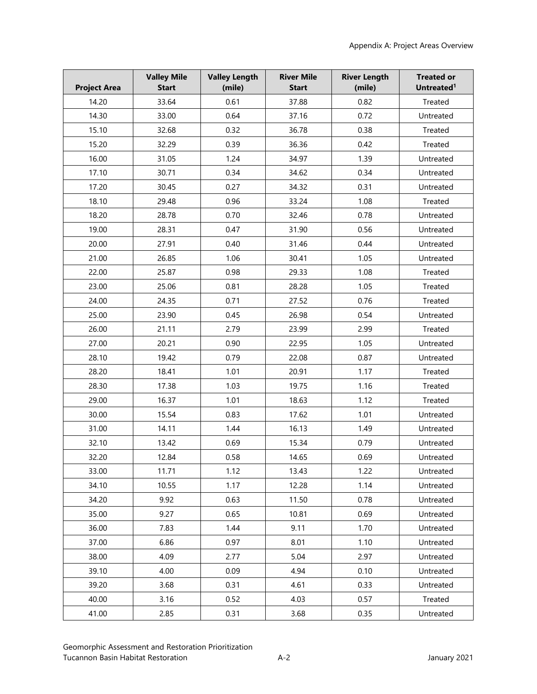| <b>Project Area</b> | <b>Valley Mile</b><br><b>Start</b> | <b>Valley Length</b><br>(mile) | <b>River Mile</b><br><b>Start</b> | <b>River Length</b><br>(mile) | <b>Treated or</b><br>Untreated <sup>1</sup> |
|---------------------|------------------------------------|--------------------------------|-----------------------------------|-------------------------------|---------------------------------------------|
| 14.20               | 33.64                              | 0.61                           | 37.88                             | 0.82                          | Treated                                     |
| 14.30               | 33.00                              | 0.64                           | 37.16                             | 0.72                          | Untreated                                   |
| 15.10               | 32.68                              | 0.32                           | 36.78                             | 0.38                          | Treated                                     |
| 15.20               | 32.29                              | 0.39                           | 36.36                             | 0.42                          | Treated                                     |
| 16.00               | 31.05                              | 1.24                           | 34.97                             | 1.39                          | Untreated                                   |
| 17.10               | 30.71                              | 0.34                           | 34.62                             | 0.34                          | Untreated                                   |
| 17.20               | 30.45                              | 0.27                           | 34.32                             | 0.31                          | Untreated                                   |
| 18.10               | 29.48                              | 0.96                           | 33.24                             | 1.08                          | Treated                                     |
| 18.20               | 28.78                              | 0.70                           | 32.46                             | 0.78                          | Untreated                                   |
| 19.00               | 28.31                              | 0.47                           | 31.90                             | 0.56                          | Untreated                                   |
| 20.00               | 27.91                              | 0.40                           | 31.46                             | 0.44                          | Untreated                                   |
| 21.00               | 26.85                              | 1.06                           | 30.41                             | 1.05                          | Untreated                                   |
| 22.00               | 25.87                              | 0.98                           | 29.33                             | 1.08                          | Treated                                     |
| 23.00               | 25.06                              | 0.81                           | 28.28                             | 1.05                          | Treated                                     |
| 24.00               | 24.35                              | 0.71                           | 27.52                             | 0.76                          | Treated                                     |
| 25.00               | 23.90                              | 0.45                           | 26.98                             | 0.54                          | Untreated                                   |
| 26.00               | 21.11                              | 2.79                           | 23.99                             | 2.99                          | Treated                                     |
| 27.00               | 20.21                              | 0.90                           | 22.95                             | 1.05                          | Untreated                                   |
| 28.10               | 19.42                              | 0.79                           | 22.08                             | 0.87                          | Untreated                                   |
| 28.20               | 18.41                              | 1.01                           | 20.91                             | 1.17                          | Treated                                     |
| 28.30               | 17.38                              | 1.03                           | 19.75                             | 1.16                          | Treated                                     |
| 29.00               | 16.37                              | 1.01                           | 18.63                             | 1.12                          | Treated                                     |
| 30.00               | 15.54                              | 0.83                           | 17.62                             | 1.01                          | Untreated                                   |
| 31.00               | 14.11                              | 1.44                           | 16.13                             | 1.49                          | Untreated                                   |
| 32.10               | 13.42                              | 0.69                           | 15.34                             | 0.79                          | Untreated                                   |
| 32.20               | 12.84                              | 0.58                           | 14.65                             | 0.69                          | Untreated                                   |
| 33.00               | 11.71                              | 1.12                           | 13.43                             | 1.22                          | Untreated                                   |
| 34.10               | 10.55                              | 1.17                           | 12.28                             | 1.14                          | Untreated                                   |
| 34.20               | 9.92                               | 0.63                           | 11.50                             | 0.78                          | Untreated                                   |
| 35.00               | 9.27                               | 0.65                           | 10.81                             | 0.69                          | Untreated                                   |
| 36.00               | 7.83                               | 1.44                           | 9.11                              | 1.70                          | Untreated                                   |
| 37.00               | 6.86                               | 0.97                           | 8.01                              | 1.10                          | Untreated                                   |
| 38.00               | 4.09                               | 2.77                           | 5.04                              | 2.97                          | Untreated                                   |
| 39.10               | 4.00                               | 0.09                           | 4.94                              | 0.10                          | Untreated                                   |
| 39.20               | 3.68                               | 0.31                           | 4.61                              | 0.33                          | Untreated                                   |
| 40.00               | 3.16                               | 0.52                           | 4.03                              | 0.57                          | Treated                                     |
| 41.00               | 2.85                               | 0.31                           | 3.68                              | 0.35                          | Untreated                                   |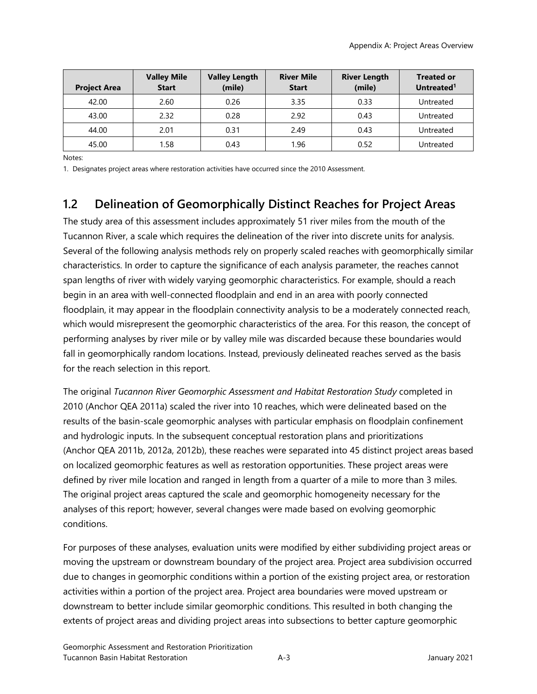| <b>Project Area</b> | <b>Valley Mile</b><br><b>Start</b> | <b>Valley Length</b><br>(mile) | <b>River Mile</b><br><b>Start</b> | <b>River Length</b><br>(mile) | <b>Treated or</b><br>Untreated <sup>1</sup> |
|---------------------|------------------------------------|--------------------------------|-----------------------------------|-------------------------------|---------------------------------------------|
| 42.00               | 2.60                               | 0.26                           | 3.35                              | 0.33                          | Untreated                                   |
| 43.00               | 2.32                               | 0.28                           | 2.92                              | 0.43                          | Untreated                                   |
| 44.00               | 2.01                               | 0.31                           | 2.49                              | 0.43                          | Untreated                                   |
| 45.00               | 1.58                               | 0.43                           | 1.96                              | 0.52                          | Untreated                                   |

Notes:

1. Designates project areas where restoration activities have occurred since the 2010 Assessment.

### **1.2 Delineation of Geomorphically Distinct Reaches for Project Areas**

The study area of this assessment includes approximately 51 river miles from the mouth of the Tucannon River, a scale which requires the delineation of the river into discrete units for analysis. Several of the following analysis methods rely on properly scaled reaches with geomorphically similar characteristics. In order to capture the significance of each analysis parameter, the reaches cannot span lengths of river with widely varying geomorphic characteristics. For example, should a reach begin in an area with well-connected floodplain and end in an area with poorly connected floodplain, it may appear in the floodplain connectivity analysis to be a moderately connected reach, which would misrepresent the geomorphic characteristics of the area. For this reason, the concept of performing analyses by river mile or by valley mile was discarded because these boundaries would fall in geomorphically random locations. Instead, previously delineated reaches served as the basis for the reach selection in this report.

The original *Tucannon River Geomorphic Assessment and Habitat Restoration Study* completed in 2010 (Anchor QEA 2011a) scaled the river into 10 reaches, which were delineated based on the results of the basin-scale geomorphic analyses with particular emphasis on floodplain confinement and hydrologic inputs. In the subsequent conceptual restoration plans and prioritizations (Anchor QEA 2011b, 2012a, 2012b), these reaches were separated into 45 distinct project areas based on localized geomorphic features as well as restoration opportunities. These project areas were defined by river mile location and ranged in length from a quarter of a mile to more than 3 miles. The original project areas captured the scale and geomorphic homogeneity necessary for the analyses of this report; however, several changes were made based on evolving geomorphic conditions.

For purposes of these analyses, evaluation units were modified by either subdividing project areas or moving the upstream or downstream boundary of the project area. Project area subdivision occurred due to changes in geomorphic conditions within a portion of the existing project area, or restoration activities within a portion of the project area. Project area boundaries were moved upstream or downstream to better include similar geomorphic conditions. This resulted in both changing the extents of project areas and dividing project areas into subsections to better capture geomorphic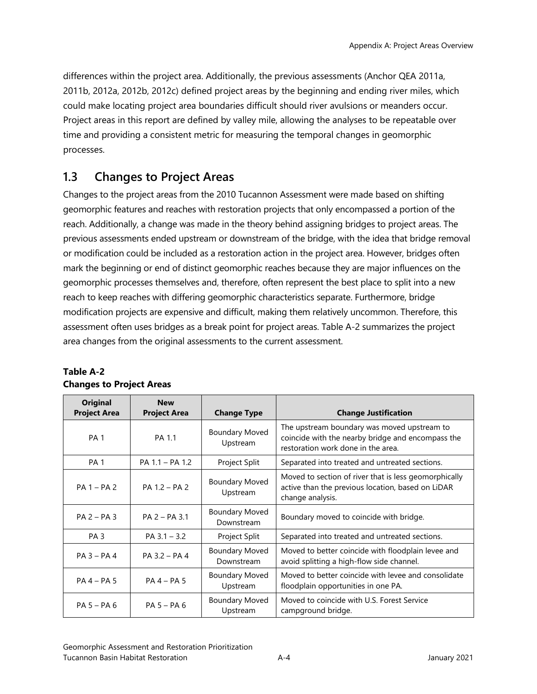differences within the project area. Additionally, the previous assessments (Anchor QEA 2011a, 2011b, 2012a, 2012b, 2012c) defined project areas by the beginning and ending river miles, which could make locating project area boundaries difficult should river avulsions or meanders occur. Project areas in this report are defined by valley mile, allowing the analyses to be repeatable over time and providing a consistent metric for measuring the temporal changes in geomorphic processes.

## **1.3 Changes to Project Areas**

Changes to the project areas from the 2010 Tucannon Assessment were made based on shifting geomorphic features and reaches with restoration projects that only encompassed a portion of the reach. Additionally, a change was made in the theory behind assigning bridges to project areas. The previous assessments ended upstream or downstream of the bridge, with the idea that bridge removal or modification could be included as a restoration action in the project area. However, bridges often mark the beginning or end of distinct geomorphic reaches because they are major influences on the geomorphic processes themselves and, therefore, often represent the best place to split into a new reach to keep reaches with differing geomorphic characteristics separate. Furthermore, bridge modification projects are expensive and difficult, making them relatively uncommon. Therefore, this assessment often uses bridges as a break point for project areas. Table A-2 summarizes the project area changes from the original assessments to the current assessment.

| <b>Original</b><br><b>Project Area</b> | <b>New</b><br><b>Project Area</b> | <b>Change Type</b>                  | <b>Change Justification</b>                                                                                                            |
|----------------------------------------|-----------------------------------|-------------------------------------|----------------------------------------------------------------------------------------------------------------------------------------|
| <b>PA1</b>                             | PA 1.1                            | <b>Boundary Moved</b><br>Upstream   | The upstream boundary was moved upstream to<br>coincide with the nearby bridge and encompass the<br>restoration work done in the area. |
| PA <sub>1</sub>                        | PA 1.1 - PA 1.2                   | Project Split                       | Separated into treated and untreated sections.                                                                                         |
| $PA 1 - PA 2$                          | PA 1.2 - PA 2                     | <b>Boundary Moved</b><br>Upstream   | Moved to section of river that is less geomorphically<br>active than the previous location, based on LiDAR<br>change analysis.         |
| $PA$ 2 – PA 3                          | $PA$ 2 – PA 3.1                   | <b>Boundary Moved</b><br>Downstream | Boundary moved to coincide with bridge.                                                                                                |
| PA <sub>3</sub>                        | $PA$ 3.1 - 3.2                    | Project Split                       | Separated into treated and untreated sections.                                                                                         |
| $PA$ 3 – PA 4                          | $PA$ 3.2 – PA 4                   | <b>Boundary Moved</b><br>Downstream | Moved to better coincide with floodplain levee and<br>avoid splitting a high-flow side channel.                                        |
| $PA$ 4 – PA 5                          | $PA$ 4 - PA 5                     | <b>Boundary Moved</b><br>Upstream   | Moved to better coincide with levee and consolidate<br>floodplain opportunities in one PA.                                             |
| $PA5 - PA6$                            | $PA5 - PA6$                       | <b>Boundary Moved</b><br>Upstream   | Moved to coincide with U.S. Forest Service<br>campground bridge.                                                                       |

#### **Table A-2 Changes to Project Areas**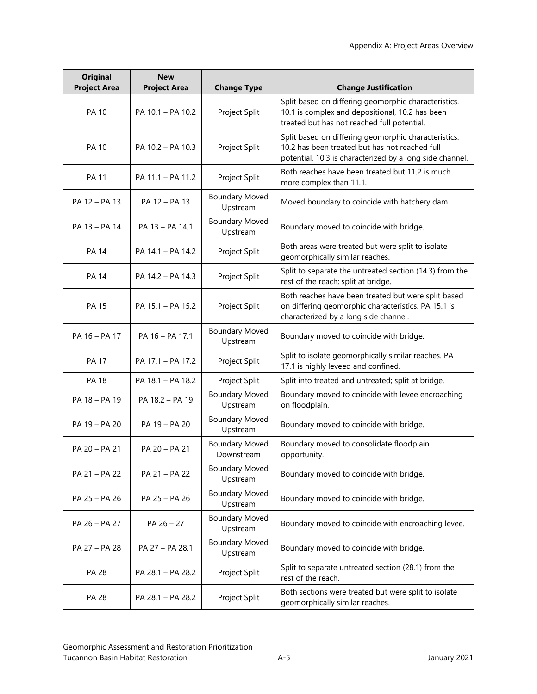| <b>Original</b><br><b>Project Area</b> | <b>New</b><br><b>Project Area</b> | <b>Change Type</b>                  | <b>Change Justification</b>                                                                                                                                        |
|----------------------------------------|-----------------------------------|-------------------------------------|--------------------------------------------------------------------------------------------------------------------------------------------------------------------|
| <b>PA 10</b>                           | PA 10.1 - PA 10.2                 | Project Split                       | Split based on differing geomorphic characteristics.<br>10.1 is complex and depositional, 10.2 has been<br>treated but has not reached full potential.             |
| <b>PA 10</b>                           | PA 10.2 - PA 10.3                 | Project Split                       | Split based on differing geomorphic characteristics.<br>10.2 has been treated but has not reached full<br>potential, 10.3 is characterized by a long side channel. |
| <b>PA 11</b>                           | PA 11.1 - PA 11.2                 | Project Split                       | Both reaches have been treated but 11.2 is much<br>more complex than 11.1.                                                                                         |
| PA 12 - PA 13                          | PA 12 - PA 13                     | <b>Boundary Moved</b><br>Upstream   | Moved boundary to coincide with hatchery dam.                                                                                                                      |
| PA 13 - PA 14                          | PA 13 - PA 14.1                   | <b>Boundary Moved</b><br>Upstream   | Boundary moved to coincide with bridge.                                                                                                                            |
| <b>PA 14</b>                           | PA 14.1 - PA 14.2                 | Project Split                       | Both areas were treated but were split to isolate<br>geomorphically similar reaches.                                                                               |
| <b>PA 14</b>                           | PA 14.2 - PA 14.3                 | Project Split                       | Split to separate the untreated section (14.3) from the<br>rest of the reach; split at bridge.                                                                     |
| <b>PA 15</b>                           | PA 15.1 - PA 15.2                 | Project Split                       | Both reaches have been treated but were split based<br>on differing geomorphic characteristics. PA 15.1 is<br>characterized by a long side channel.                |
| PA 16 - PA 17                          | PA 16 - PA 17.1                   | <b>Boundary Moved</b><br>Upstream   | Boundary moved to coincide with bridge.                                                                                                                            |
| <b>PA 17</b>                           | PA 17.1 - PA 17.2                 | Project Split                       | Split to isolate geomorphically similar reaches. PA<br>17.1 is highly leveed and confined.                                                                         |
| <b>PA 18</b>                           | PA 18.1 - PA 18.2                 | Project Split                       | Split into treated and untreated; split at bridge.                                                                                                                 |
| PA 18 - PA 19                          | PA 18.2 - PA 19                   | <b>Boundary Moved</b><br>Upstream   | Boundary moved to coincide with levee encroaching<br>on floodplain.                                                                                                |
| PA 19 - PA 20                          | PA 19 - PA 20                     | <b>Boundary Moved</b><br>Upstream   | Boundary moved to coincide with bridge.                                                                                                                            |
| PA 20 - PA 21                          | PA 20 - PA 21                     | <b>Boundary Moved</b><br>Downstream | Boundary moved to consolidate floodplain<br>opportunity.                                                                                                           |
| PA 21 - PA 22                          | PA 21 - PA 22                     | <b>Boundary Moved</b><br>Upstream   | Boundary moved to coincide with bridge.                                                                                                                            |
| PA 25 - PA 26                          | PA 25 - PA 26                     | <b>Boundary Moved</b><br>Upstream   | Boundary moved to coincide with bridge.                                                                                                                            |
| PA 26 - PA 27                          | PA 26 - 27                        | <b>Boundary Moved</b><br>Upstream   | Boundary moved to coincide with encroaching levee.                                                                                                                 |
| PA 27 - PA 28                          | PA 27 - PA 28.1                   | <b>Boundary Moved</b><br>Upstream   | Boundary moved to coincide with bridge.                                                                                                                            |
| PA 28                                  | PA 28.1 - PA 28.2                 | Project Split                       | Split to separate untreated section (28.1) from the<br>rest of the reach.                                                                                          |
| <b>PA 28</b>                           | PA 28.1 - PA 28.2                 | Project Split                       | Both sections were treated but were split to isolate<br>geomorphically similar reaches.                                                                            |